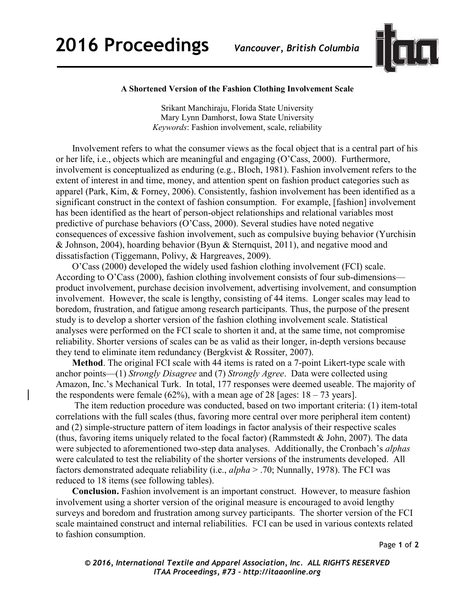

## **A Shortened Version of the Fashion Clothing Involvement Scale**

Srikant Manchiraju, Florida State University Mary Lynn Damhorst, Iowa State University *Keywords*: Fashion involvement, scale, reliability

 Involvement refers to what the consumer views as the focal object that is a central part of his or her life, i.e., objects which are meaningful and engaging (O'Cass, 2000). Furthermore, involvement is conceptualized as enduring (e.g., Bloch, 1981). Fashion involvement refers to the extent of interest in and time, money, and attention spent on fashion product categories such as apparel (Park, Kim, & Forney, 2006). Consistently, fashion involvement has been identified as a significant construct in the context of fashion consumption. For example, [fashion] involvement has been identified as the heart of person-object relationships and relational variables most predictive of purchase behaviors (O'Cass, 2000). Several studies have noted negative consequences of excessive fashion involvement, such as compulsive buying behavior (Yurchisin & Johnson, 2004), hoarding behavior (Byun & Sternquist, 2011), and negative mood and dissatisfaction (Tiggemann, Polivy, & Hargreaves, 2009).

 O'Cass (2000) developed the widely used fashion clothing involvement (FCI) scale. According to O'Cass (2000), fashion clothing involvement consists of four sub-dimensions product involvement, purchase decision involvement, advertising involvement, and consumption involvement. However, the scale is lengthy, consisting of 44 items. Longer scales may lead to boredom, frustration, and fatigue among research participants. Thus, the purpose of the present study is to develop a shorter version of the fashion clothing involvement scale. Statistical analyses were performed on the FCI scale to shorten it and, at the same time, not compromise reliability. Shorter versions of scales can be as valid as their longer, in-depth versions because they tend to eliminate item redundancy (Bergkvist & Rossiter, 2007).

 **Method**. The original FCI scale with 44 items is rated on a 7-point Likert-type scale with anchor points—(1) *Strongly Disagree* and (7) *Strongly Agree*. Data were collected using Amazon, Inc.'s Mechanical Turk. In total, 177 responses were deemed useable. The majority of the respondents were female (62%), with a mean age of 28 [ages:  $18 - 73$  years].

 The item reduction procedure was conducted, based on two important criteria: (1) item-total correlations with the full scales (thus, favoring more central over more peripheral item content) and (2) simple-structure pattern of item loadings in factor analysis of their respective scales (thus, favoring items uniquely related to the focal factor) (Rammstedt & John, 2007). The data were subjected to aforementioned two-step data analyses. Additionally, the Cronbach's *alphas* were calculated to test the reliability of the shorter versions of the instruments developed. All factors demonstrated adequate reliability (i.e., *alpha* > .70; Nunnally, 1978). The FCI was reduced to 18 items (see following tables).

 **Conclusion.** Fashion involvement is an important construct. However, to measure fashion involvement using a shorter version of the original measure is encouraged to avoid lengthy surveys and boredom and frustration among survey participants. The shorter version of the FCI scale maintained construct and internal reliabilities. FCI can be used in various contexts related to fashion consumption.

Page **1** of **2** 

*© 2016, International Textile and Apparel Association, Inc. ALL RIGHTS RESERVED ITAA Proceedings, #73 – http://itaaonline.org*